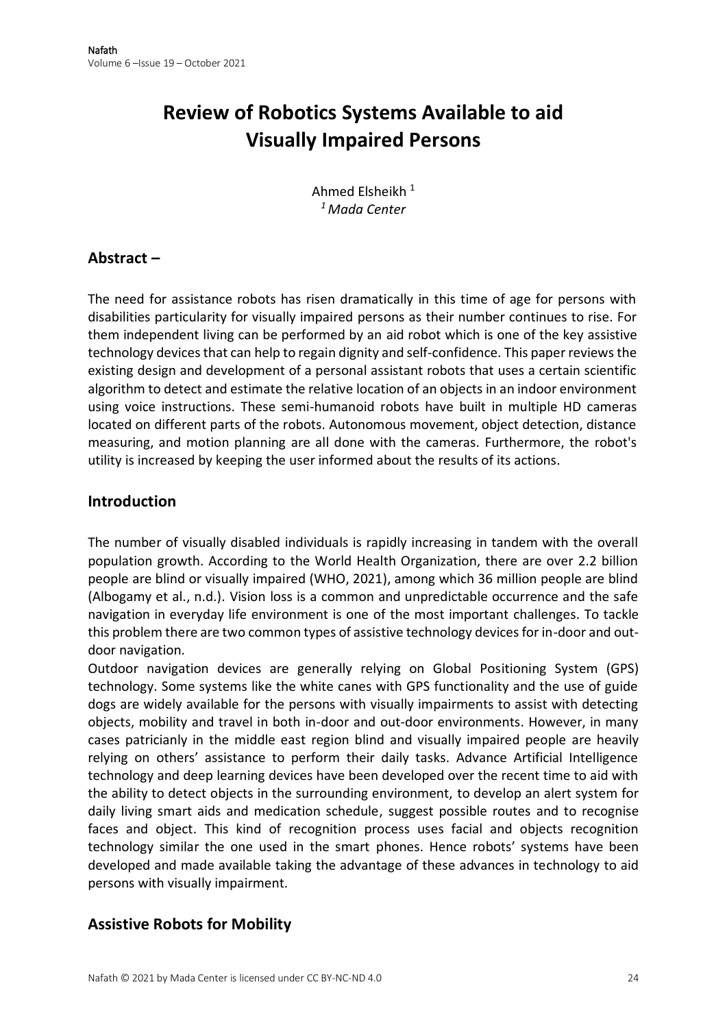# **Review of Robotics Systems Available to aid Visually Impaired Persons**

Ahmed Elsheikh <sup>1</sup> *<sup>1</sup> Mada Center*

### **Abstract –**

The need for assistance robots has risen dramatically in this time of age for persons with disabilities particularity for visually impaired persons as their number continues to rise. For them independent living can be performed by an aid robot which is one of the key assistive technology devices that can help to regain dignity and self-confidence. This paper reviews the existing design and development of a personal assistant robots that uses a certain scientific algorithm to detect and estimate the relative location of an objects in an indoor environment using voice instructions. These semi-humanoid robots have built in multiple HD cameras located on different parts of the robots. Autonomous movement, object detection, distance measuring, and motion planning are all done with the cameras. Furthermore, the robot's utility is increased by keeping the user informed about the results of its actions.

### **Introduction**

The number of visually disabled individuals is rapidly increasing in tandem with the overall population growth. According to the World Health Organization, there are over 2.2 billion people are blind or visually impaired (WHO, 2021), among which 36 million people are blind (Albogamy et al., n.d.). Vision loss is a common and unpredictable occurrence and the safe navigation in everyday life environment is one of the most important challenges. To tackle this problem there are two common types of assistive technology devices for in-door and outdoor navigation.

Outdoor navigation devices are generally relying on Global Positioning System (GPS) technology. Some systems like the white canes with GPS functionality and the use of guide dogs are widely available for the persons with visually impairments to assist with detecting objects, mobility and travel in both in-door and out-door environments. However, in many cases patricianly in the middle east region blind and visually impaired people are heavily relying on others' assistance to perform their daily tasks. Advance Artificial Intelligence technology and deep learning devices have been developed over the recent time to aid with the ability to detect objects in the surrounding environment, to develop an alert system for daily living smart aids and medication schedule, suggest possible routes and to recognise faces and object. This kind of recognition process uses facial and objects recognition technology similar the one used in the smart phones. Hence robots' systems have been developed and made available taking the advantage of these advances in technology to aid persons with visually impairment.

## **Assistive Robots for Mobility**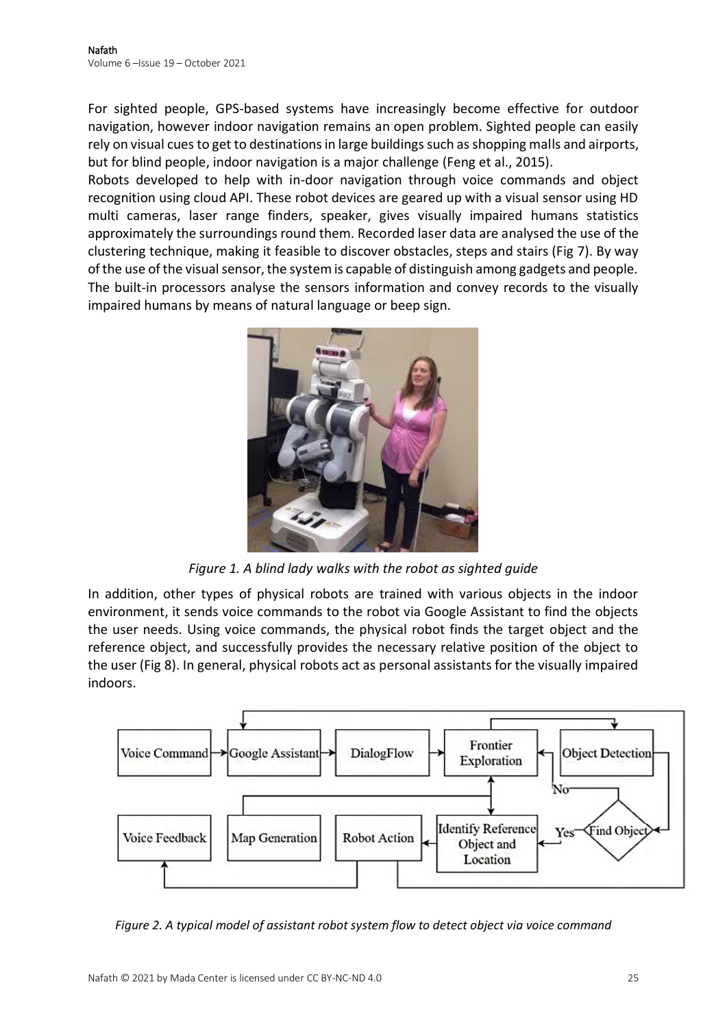For sighted people, GPS-based systems have increasingly become effective for outdoor navigation, however indoor navigation remains an open problem. Sighted people can easily rely on visual cues to get to destinations in large buildings such as shopping malls and airports, but for blind people, indoor navigation is a major challenge (Feng et al., 2015).

Robots developed to help with in-door navigation through voice commands and object recognition using cloud API. These robot devices are geared up with a visual sensor using HD multi cameras, laser range finders, speaker, gives visually impaired humans statistics approximately the surroundings round them. Recorded laser data are analysed the use of the clustering technique, making it feasible to discover obstacles, steps and stairs (Fig 7). By way of the use of the visual sensor, the system is capable of distinguish among gadgets and people. The built-in processors analyse the sensors information and convey records to the visually impaired humans by means of natural language or beep sign.



*Figure 1. A blind lady walks with the robot as sighted guide*

In addition, other types of physical robots are trained with various objects in the indoor environment, it sends voice commands to the robot via Google Assistant to find the objects the user needs. Using voice commands, the physical robot finds the target object and the reference object, and successfully provides the necessary relative position of the object to the user (Fig 8). In general, physical robots act as personal assistants for the visually impaired indoors.



*Figure 2. A typical model of assistant robot system flow to detect object via voice command*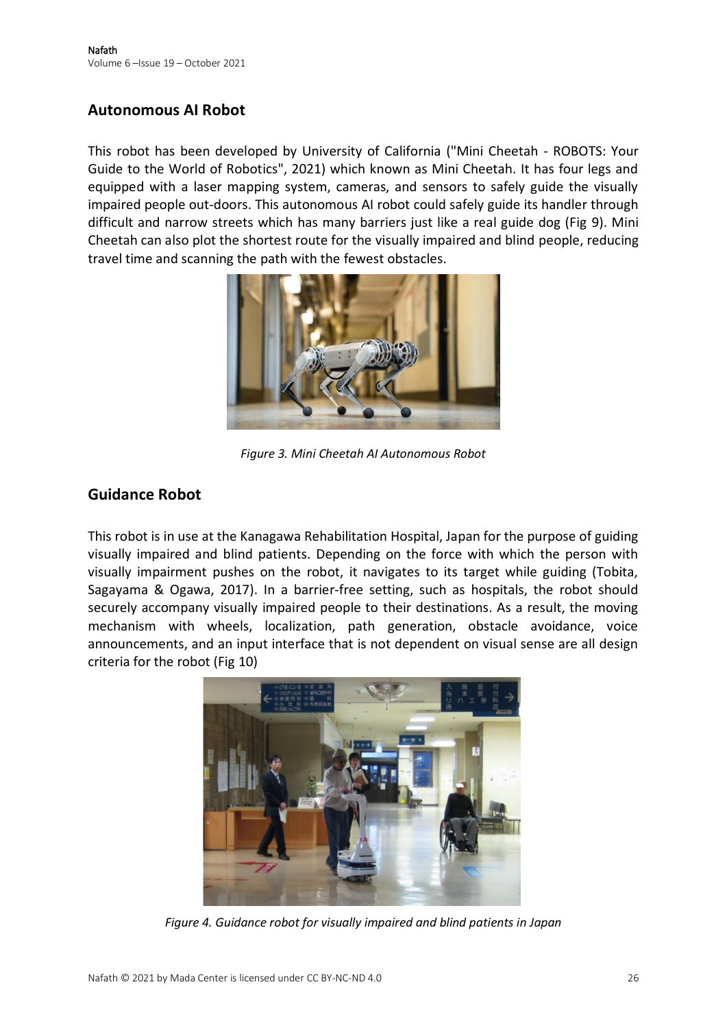### **Autonomous AI Robot**

This robot has been developed by University of California ("Mini Cheetah - ROBOTS: Your Guide to the World of Robotics", 2021) which known as Mini Cheetah. It has four legs and equipped with a laser mapping system, cameras, and sensors to safely guide the visually impaired people out-doors. This autonomous AI robot could safely guide its handler through difficult and narrow streets which has many barriers just like a real guide dog (Fig 9). Mini Cheetah can also plot the shortest route for the visually impaired and blind people, reducing travel time and scanning the path with the fewest obstacles.



*Figure 3. Mini Cheetah AI Autonomous Robot*

### **Guidance Robot**

This robot is in use at the Kanagawa Rehabilitation Hospital, Japan for the purpose of guiding visually impaired and blind patients. Depending on the force with which the person with visually impairment pushes on the robot, it navigates to its target while guiding (Tobita, Sagayama & Ogawa, 2017). In a barrier-free setting, such as hospitals, the robot should securely accompany visually impaired people to their destinations. As a result, the moving mechanism with wheels, localization, path generation, obstacle avoidance, voice announcements, and an input interface that is not dependent on visual sense are all design criteria for the robot (Fig 10)



*Figure 4. Guidance robot for visually impaired and blind patients in Japan*